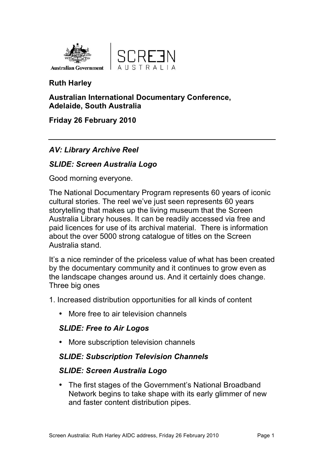



## **Ruth Harley**

#### **Australian International Documentary Conference, Adelaide, South Australia**

## **Friday 26 February 2010**

## *AV: Library Archive Reel*

## *SLIDE: Screen Australia Logo*

Good morning everyone.

The National Documentary Program represents 60 years of iconic cultural stories. The reel we've just seen represents 60 years storytelling that makes up the living museum that the Screen Australia Library houses. It can be readily accessed via free and paid licences for use of its archival material. There is information about the over 5000 strong catalogue of titles on the Screen Australia stand.

It's a nice reminder of the priceless value of what has been created by the documentary community and it continues to grow even as the landscape changes around us. And it certainly does change. Three big ones

1. Increased distribution opportunities for all kinds of content

• More free to air television channels

## *SLIDE: Free to Air Logos*

• More subscription television channels

## *SLIDE: Subscription Television Channels*

### *SLIDE: Screen Australia Logo*

• The first stages of the Government's National Broadband Network begins to take shape with its early glimmer of new and faster content distribution pipes.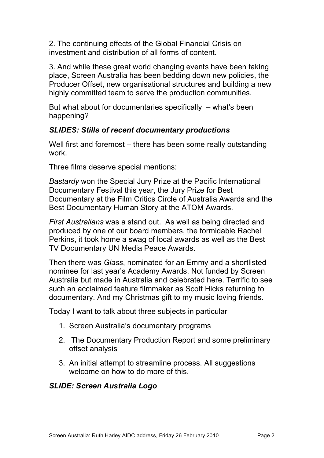2. The continuing effects of the Global Financial Crisis on investment and distribution of all forms of content.

3. And while these great world changing events have been taking place, Screen Australia has been bedding down new policies, the Producer Offset, new organisational structures and building a new highly committed team to serve the production communities.

But what about for documentaries specifically  $-$  what's been happening?

### *SLIDES: Stills of recent documentary productions*

Well first and foremost – there has been some really outstanding work.

Three films deserve special mentions:

*Bastardy* won the Special Jury Prize at the Pacific International Documentary Festival this year, the Jury Prize for Best Documentary at the Film Critics Circle of Australia Awards and the Best Documentary Human Story at the ATOM Awards.

*First Australians* was a stand out. As well as being directed and produced by one of our board members, the formidable Rachel Perkins, it took home a swag of local awards as well as the Best TV Documentary UN Media Peace Awards.

Then there was *Glass*, nominated for an Emmy and a shortlisted nominee for last year's Academy Awards. Not funded by Screen Australia but made in Australia and celebrated here. Terrific to see such an acclaimed feature filmmaker as Scott Hicks returning to documentary. And my Christmas gift to my music loving friends.

Today I want to talk about three subjects in particular

- 1. Screen Australia's documentary programs
- 2. The Documentary Production Report and some preliminary offset analysis
- 3. An initial attempt to streamline process. All suggestions welcome on how to do more of this.

### *SLIDE: Screen Australia Logo*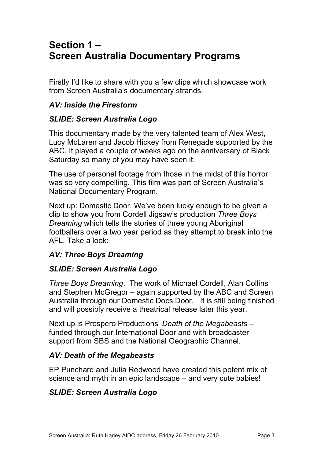# **Section 1 – Screen Australia Documentary Programs**

Firstly I'd like to share with you a few clips which showcase work from Screen Australia's documentary strands.

### *AV: Inside the Firestorm*

## *SLIDE: Screen Australia Logo*

This documentary made by the very talented team of Alex West, Lucy McLaren and Jacob Hickey from Renegade supported by the ABC. It played a couple of weeks ago on the anniversary of Black Saturday so many of you may have seen it.

The use of personal footage from those in the midst of this horror was so very compelling. This film was part of Screen Australia's National Documentary Program.

Next up: Domestic Door. We've been lucky enough to be given a clip to show you from Cordell Jigsaw's production *Three Boys Dreaming* which tells the stories of three young Aboriginal footballers over a two year period as they attempt to break into the AFL. Take a look:

## *AV: Three Boys Dreaming*

### *SLIDE: Screen Australia Logo*

*Three Boys Dreaming*. The work of Michael Cordell, Alan Collins and Stephen McGregor – again supported by the ABC and Screen Australia through our Domestic Docs Door. It is still being finished and will possibly receive a theatrical release later this year.

Next up is Prospero Productions' *Death of the Megabeasts* – funded through our International Door and with broadcaster support from SBS and the National Geographic Channel.

### *AV: Death of the Megabeasts*

EP Punchard and Julia Redwood have created this potent mix of science and myth in an epic landscape – and very cute babies!

## *SLIDE: Screen Australia Logo*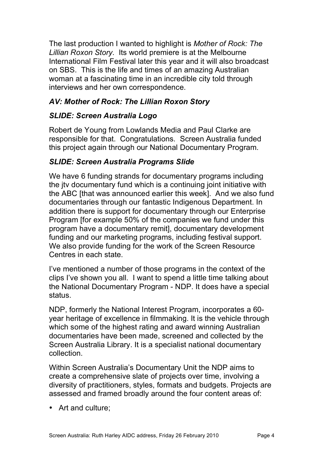The last production I wanted to highlight is *Mother of Rock: The Lillian Roxon Story*. Its world premiere is at the Melbourne International Film Festival later this year and it will also broadcast on SBS. This is the life and times of an amazing Australian woman at a fascinating time in an incredible city told through interviews and her own correspondence.

## *AV: Mother of Rock: The Lillian Roxon Story*

## *SLIDE: Screen Australia Logo*

Robert de Young from Lowlands Media and Paul Clarke are responsible for that. Congratulations. Screen Australia funded this project again through our National Documentary Program.

### *SLIDE: Screen Australia Programs Slide*

We have 6 funding strands for documentary programs including the jtv documentary fund which is a continuing joint initiative with the ABC [that was announced earlier this week]. And we also fund documentaries through our fantastic Indigenous Department. In addition there is support for documentary through our Enterprise Program [for example 50% of the companies we fund under this program have a documentary remit], documentary development funding and our marketing programs, including festival support. We also provide funding for the work of the Screen Resource Centres in each state.

I've mentioned a number of those programs in the context of the clips I've shown you all. I want to spend a little time talking about the National Documentary Program - NDP. It does have a special status.

NDP, formerly the National Interest Program, incorporates a 60 year heritage of excellence in filmmaking. It is the vehicle through which some of the highest rating and award winning Australian documentaries have been made, screened and collected by the Screen Australia Library. It is a specialist national documentary collection.

Within Screen Australia's Documentary Unit the NDP aims to create a comprehensive slate of projects over time, involving a diversity of practitioners, styles, formats and budgets. Projects are assessed and framed broadly around the four content areas of:

• Art and culture;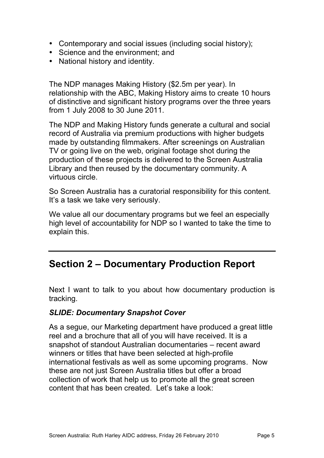- Contemporary and social issues (including social history);
- Science and the environment; and
- National history and identity.

The NDP manages Making History (\$2.5m per year). In relationship with the ABC, Making History aims to create 10 hours of distinctive and significant history programs over the three years from 1 July 2008 to 30 June 2011.

The NDP and Making History funds generate a cultural and social record of Australia via premium productions with higher budgets made by outstanding filmmakers. After screenings on Australian TV or going live on the web, original footage shot during the production of these projects is delivered to the Screen Australia Library and then reused by the documentary community. A virtuous circle.

So Screen Australia has a curatorial responsibility for this content. It's a task we take very seriously.

We value all our documentary programs but we feel an especially high level of accountability for NDP so I wanted to take the time to explain this.

# **Section 2 – Documentary Production Report**

Next I want to talk to you about how documentary production is tracking.

### *SLIDE: Documentary Snapshot Cover*

As a segue, our Marketing department have produced a great little reel and a brochure that all of you will have received. It is a snapshot of standout Australian documentaries – recent award winners or titles that have been selected at high-profile international festivals as well as some upcoming programs. Now these are not just Screen Australia titles but offer a broad collection of work that help us to promote all the great screen content that has been created. Let's take a look: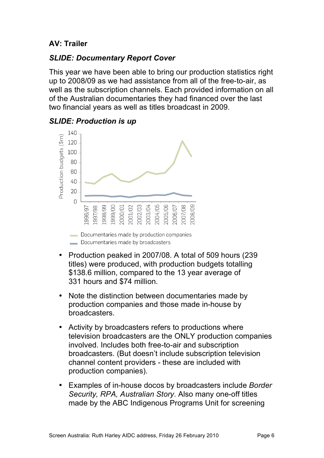## **AV: Trailer**

### *SLIDE: Documentary Report Cover*

This year we have been able to bring our production statistics right up to 2008/09 as we had assistance from all of the free-to-air, as well as the subscription channels. Each provided information on all of the Australian documentaries they had financed over the last two financial years as well as titles broadcast in 2009.



### *SLIDE: Production is up*

- Production peaked in 2007/08. A total of 509 hours (239 titles) were produced, with production budgets totalling \$138.6 million, compared to the 13 year average of 331 hours and \$74 million.
- Note the distinction between documentaries made by production companies and those made in-house by broadcasters.
- Activity by broadcasters refers to productions where television broadcasters are the ONLY production companies involved. Includes both free-to-air and subscription broadcasters. (But doesn't include subscription television channel content providers - these are included with production companies).
- Examples of in-house docos by broadcasters include *Border Security, RPA, Australian Story*. Also many one-off titles made by the ABC Indigenous Programs Unit for screening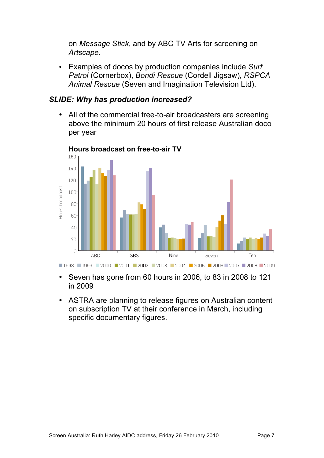on *Message Stick*, and by ABC TV Arts for screening on *Artscape*.

• Examples of docos by production companies include *Surf Patrol* (Cornerbox), *Bondi Rescue* (Cordell Jigsaw), *RSPCA Animal Rescue* (Seven and Imagination Television Ltd).

#### *SLIDE: Why has production increased?*

• All of the commercial free-to-air broadcasters are screening above the minimum 20 hours of first release Australian doco per year



**Hours broadcast on free-to-air TV**

- Seven has gone from 60 hours in 2006, to 83 in 2008 to 121 in 2009
- ASTRA are planning to release figures on Australian content on subscription TV at their conference in March, including specific documentary figures.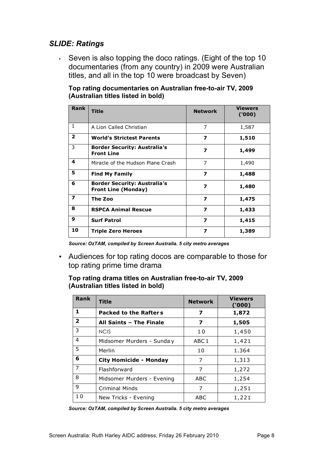### *SLIDE: Ratings*

• Seven is also topping the doco ratings. (Eight of the top 10 documentaries (from any country) in 2009 were Australian titles, and all in the top 10 were broadcast by Seven)

**Top rating documentaries on Australian free-to-air TV, 2009 (Australian titles listed in bold)**

| <b>Rank</b>             | <b>Title</b>                                                      | <b>Network</b>          | Viewers<br>('000) |
|-------------------------|-------------------------------------------------------------------|-------------------------|-------------------|
| $\mathbf{1}$            | A Lion Called Christian                                           | 7                       | 1,587             |
| $\overline{2}$          | <b>World's Strictest Parents</b>                                  | 7                       | 1,510             |
| 3                       | <b>Border Security: Australia's</b><br><b>Front Line</b>          | 7                       | 1,499             |
| 4                       | Miracle of the Hudson Plane Crash                                 | 7                       | 1,490             |
| 5                       | <b>Find My Family</b>                                             | $\overline{\mathbf{z}}$ | 1,488             |
| 6                       | <b>Border Security: Australia's</b><br><b>Front Line (Monday)</b> | 7                       | 1,480             |
| $\overline{\mathbf{z}}$ | The Zoo                                                           | $\overline{\mathbf{z}}$ | 1,475             |
| 8                       | <b>RSPCA Animal Rescue</b>                                        | $\overline{\mathbf{z}}$ | 1,433             |
| 9                       | <b>Surf Patrol</b>                                                | $\overline{\mathbf{z}}$ | 1,415             |
| 10                      | <b>Triple Zero Heroes</b>                                         | $\overline{\mathbf{z}}$ | 1,389             |

*Source: OzTAM, compiled by Screen Australia. 5 city metro averages*

• Audiences for top rating docos are comparable to those for top rating prime time drama

**Top rating drama titles on Australian free-to-air TV, 2009 (Australian titles listed in bold)**

| Rank           | <b>Title</b>                  | <b>Network</b>   | <b>Viewers</b><br>(000) |
|----------------|-------------------------------|------------------|-------------------------|
| 1              | <b>Packed to the Rafters</b>  | 7                | 1,872                   |
| $\overline{2}$ | All Saints - The Finale       | 7                | 1,505                   |
| 3              | <b>NCIS</b>                   | 10               | 1,450                   |
| 4              | Midsomer Murders - Sunda y    | ABC <sub>1</sub> | 1,421                   |
| 5              | Merlin                        | 10               | 1.364                   |
| 6              | <b>City Homicide - Monday</b> | 7                | 1,313                   |
| $\overline{7}$ | Flashforward                  | 7                | 1,272                   |
| 8              | Midsomer Murders - Evening    | ABC              | 1,254                   |
| 9              | <b>Criminal Minds</b>         | 7                | 1,251                   |
| 10             | New Tricks - Evening          | ABC              | 1,221                   |

*Source: OzTAM, compiled by Screen Australia. 5 city metro averages*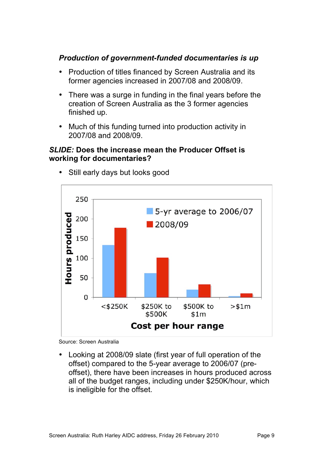#### *Production of government-funded documentaries is up*

- Production of titles financed by Screen Australia and its former agencies increased in 2007/08 and 2008/09.
- There was a surge in funding in the final years before the creation of Screen Australia as the 3 former agencies finished up.
- Much of this funding turned into production activity in 2007/08 and 2008/09.

#### *SLIDE:* **Does the increase mean the Producer Offset is working for documentaries?**



Still early days but looks good

Source: Screen Australia

• Looking at 2008/09 slate (first year of full operation of the offset) compared to the 5-year average to 2006/07 (preoffset), there have been increases in hours produced across all of the budget ranges, including under \$250K/hour, which is ineligible for the offset.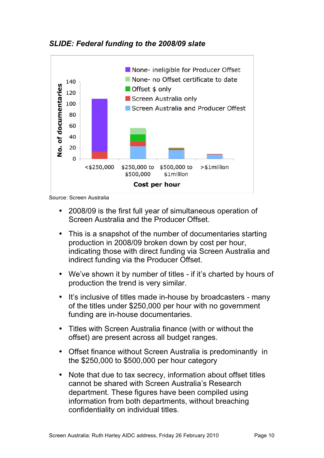



Source: Screen Australia

- 2008/09 is the first full year of simultaneous operation of Screen Australia and the Producer Offset.
- This is a snapshot of the number of documentaries starting production in 2008/09 broken down by cost per hour, indicating those with direct funding via Screen Australia and indirect funding via the Producer Offset.
- We've shown it by number of titles if it's charted by hours of production the trend is very similar.
- It's inclusive of titles made in-house by broadcasters many of the titles under \$250,000 per hour with no government funding are in-house documentaries.
- Titles with Screen Australia finance (with or without the offset) are present across all budget ranges.
- Offset finance without Screen Australia is predominantly in the \$250,000 to \$500,000 per hour category
- Note that due to tax secrecy, information about offset titles cannot be shared with Screen Australia's Research department. These figures have been compiled using information from both departments, without breaching confidentiality on individual titles.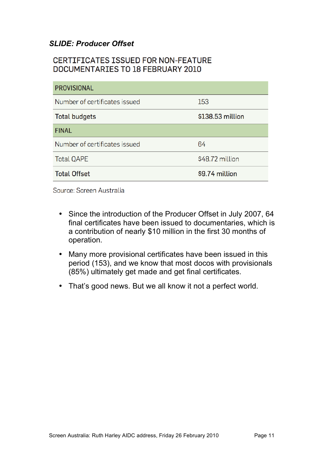## *SLIDE: Producer Offset*

## CERTIFICATES ISSUED FOR NON-FEATURE DOCUMENTARIES TO 18 FEBRUARY 2010

| <b>PROVISIONAL</b>            |                  |  |  |  |
|-------------------------------|------------------|--|--|--|
| Number of certificates issued | 153              |  |  |  |
| <b>Total budgets</b>          | \$138.53 million |  |  |  |
| <b>FINAL</b>                  |                  |  |  |  |
| Number of certificates issued | 64               |  |  |  |
| <b>Total QAPE</b>             | \$48.72 million  |  |  |  |
| <b>Total Offset</b>           | \$9.74 million   |  |  |  |

Source: Screen Australia

- Since the introduction of the Producer Offset in July 2007, 64 final certificates have been issued to documentaries, which is a contribution of nearly \$10 million in the first 30 months of operation.
- Many more provisional certificates have been issued in this period (153), and we know that most docos with provisionals (85%) ultimately get made and get final certificates.
- That's good news. But we all know it not a perfect world.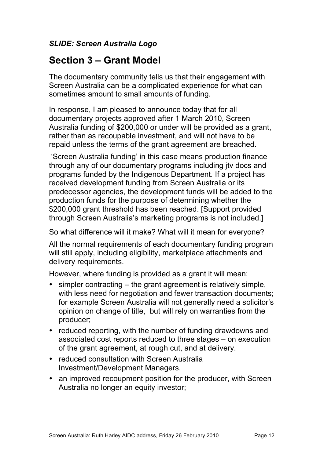## *SLIDE: Screen Australia Logo*

# **Section 3 – Grant Model**

The documentary community tells us that their engagement with Screen Australia can be a complicated experience for what can sometimes amount to small amounts of funding.

In response, I am pleased to announce today that for all documentary projects approved after 1 March 2010, Screen Australia funding of \$200,000 or under will be provided as a grant, rather than as recoupable investment, and will not have to be repaid unless the terms of the grant agreement are breached.

 'Screen Australia funding' in this case means production finance through any of our documentary programs including jtv docs and programs funded by the Indigenous Department. If a project has received development funding from Screen Australia or its predecessor agencies, the development funds will be added to the production funds for the purpose of determining whether the \$200,000 grant threshold has been reached. [Support provided through Screen Australia's marketing programs is not included.]

So what difference will it make? What will it mean for everyone?

All the normal requirements of each documentary funding program will still apply, including eligibility, marketplace attachments and delivery requirements.

However, where funding is provided as a grant it will mean:

- simpler contracting the grant agreement is relatively simple, with less need for negotiation and fewer transaction documents; for example Screen Australia will not generally need a solicitor's opinion on change of title, but will rely on warranties from the producer;
- reduced reporting, with the number of funding drawdowns and associated cost reports reduced to three stages – on execution of the grant agreement, at rough cut, and at delivery.
- reduced consultation with Screen Australia Investment/Development Managers.
- an improved recoupment position for the producer, with Screen Australia no longer an equity investor;